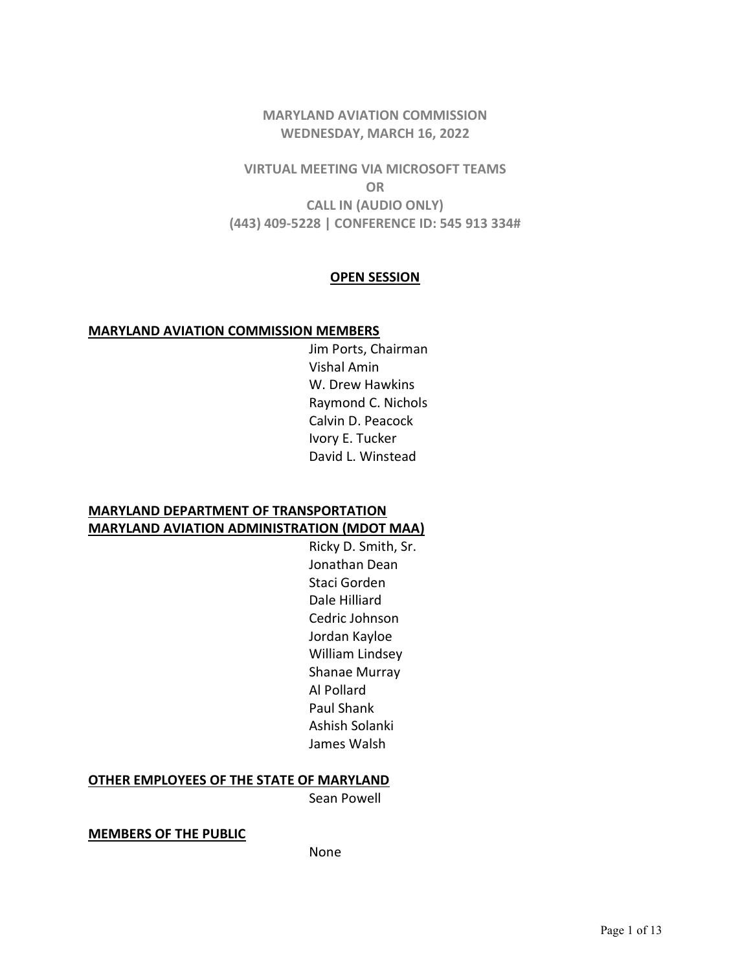## MARYLAND AVIATION COMMISSION WEDNESDAY, MARCH 16, 2022

VIRTUAL MEETING VIA MICROSOFT TEAMS OR CALL IN (AUDIO ONLY) (443) 409-5228 | CONFERENCE ID: 545 913 334#

#### OPEN SESSION

#### MARYLAND AVIATION COMMISSION MEMBERS

 Jim Ports, Chairman Vishal Amin W. Drew Hawkins Raymond C. Nichols Calvin D. Peacock Ivory E. Tucker David L. Winstead

## MARYLAND DEPARTMENT OF TRANSPORTATION MARYLAND AVIATION ADMINISTRATION (MDOT MAA)

Ricky D. Smith, Sr. Jonathan Dean Staci Gorden Dale Hilliard Cedric Johnson Jordan Kayloe William Lindsey Shanae Murray Al Pollard Paul Shank Ashish Solanki James Walsh

## OTHER EMPLOYEES OF THE STATE OF MARYLAND

Sean Powell

MEMBERS OF THE PUBLIC

None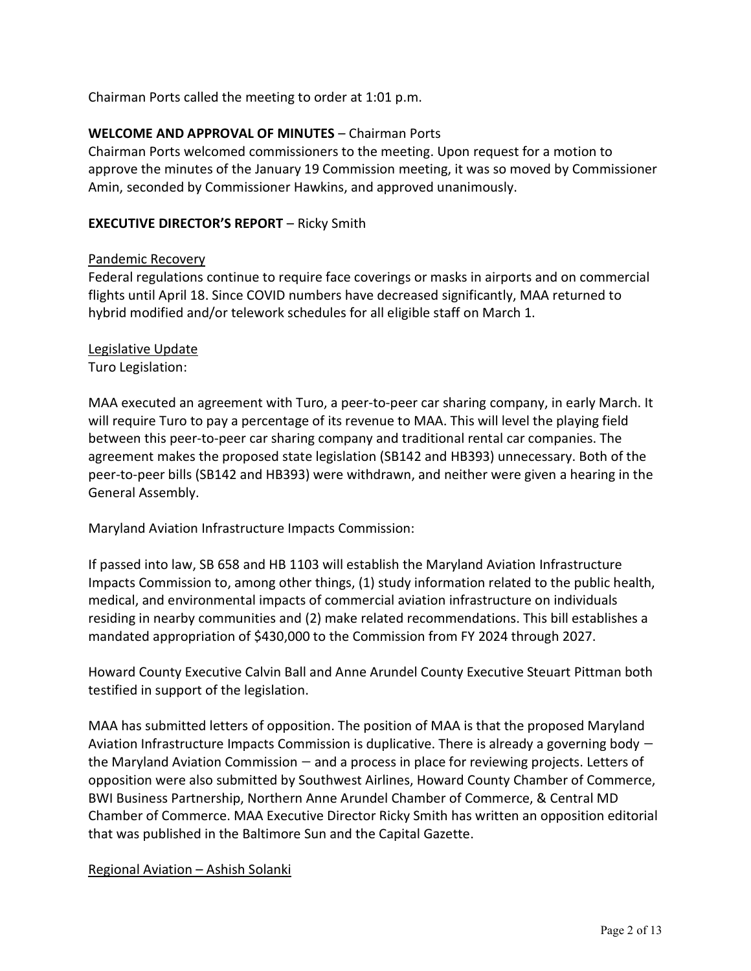Chairman Ports called the meeting to order at 1:01 p.m.

## WELCOME AND APPROVAL OF MINUTES – Chairman Ports

Chairman Ports welcomed commissioners to the meeting. Upon request for a motion to approve the minutes of the January 19 Commission meeting, it was so moved by Commissioner Amin, seconded by Commissioner Hawkins, and approved unanimously.

## EXECUTIVE DIRECTOR'S REPORT – Ricky Smith

## Pandemic Recovery

Federal regulations continue to require face coverings or masks in airports and on commercial flights until April 18. Since COVID numbers have decreased significantly, MAA returned to hybrid modified and/or telework schedules for all eligible staff on March 1.

## Legislative Update

Turo Legislation:

MAA executed an agreement with Turo, a peer-to-peer car sharing company, in early March. It will require Turo to pay a percentage of its revenue to MAA. This will level the playing field between this peer-to-peer car sharing company and traditional rental car companies. The agreement makes the proposed state legislation (SB142 and HB393) unnecessary. Both of the peer-to-peer bills (SB142 and HB393) were withdrawn, and neither were given a hearing in the General Assembly.

Maryland Aviation Infrastructure Impacts Commission:

If passed into law, SB 658 and HB 1103 will establish the Maryland Aviation Infrastructure Impacts Commission to, among other things, (1) study information related to the public health, medical, and environmental impacts of commercial aviation infrastructure on individuals residing in nearby communities and (2) make related recommendations. This bill establishes a mandated appropriation of \$430,000 to the Commission from FY 2024 through 2027.

Howard County Executive Calvin Ball and Anne Arundel County Executive Steuart Pittman both testified in support of the legislation.

MAA has submitted letters of opposition. The position of MAA is that the proposed Maryland Aviation Infrastructure Impacts Commission is duplicative. There is already a governing body the Maryland Aviation Commission — and a process in place for reviewing projects. Letters of opposition were also submitted by Southwest Airlines, Howard County Chamber of Commerce, BWI Business Partnership, Northern Anne Arundel Chamber of Commerce, & Central MD Chamber of Commerce. MAA Executive Director Ricky Smith has written an opposition editorial that was published in the Baltimore Sun and the Capital Gazette.

## Regional Aviation – Ashish Solanki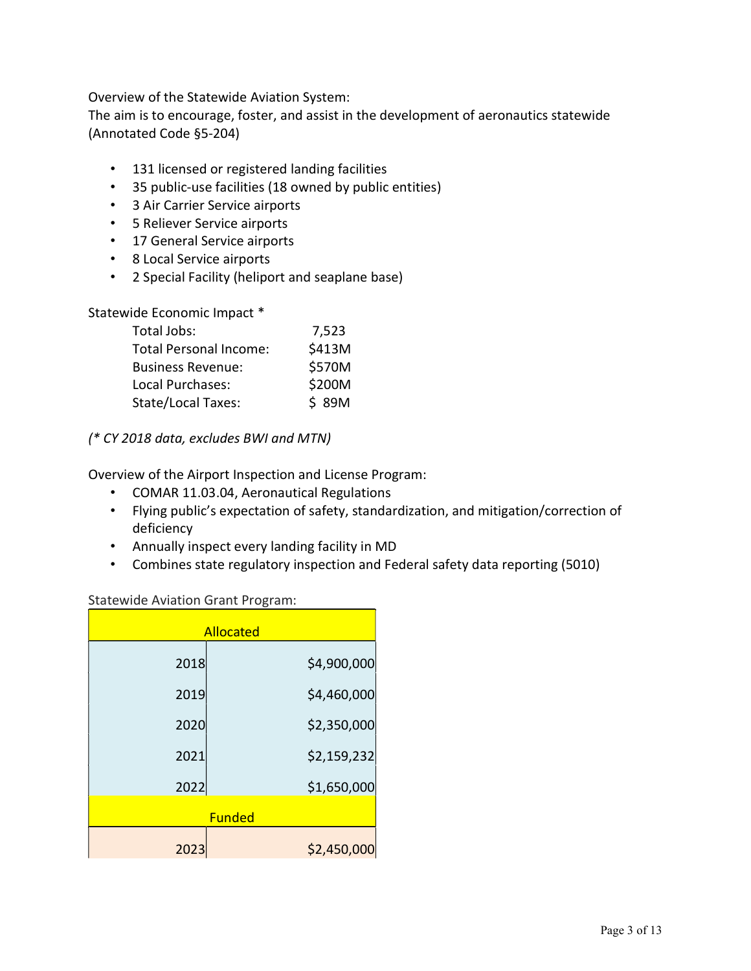Overview of the Statewide Aviation System:

The aim is to encourage, foster, and assist in the development of aeronautics statewide (Annotated Code §5-204)

- 131 licensed or registered landing facilities
- 35 public-use facilities (18 owned by public entities)
- 3 Air Carrier Service airports
- 5 Reliever Service airports
- 17 General Service airports
- 8 Local Service airports
- 2 Special Facility (heliport and seaplane base)

Statewide Economic Impact \*

| Total Jobs:                   | 7,523  |
|-------------------------------|--------|
| <b>Total Personal Income:</b> | \$413M |
| <b>Business Revenue:</b>      | \$570M |
| Local Purchases:              | \$200M |
| State/Local Taxes:            | \$ 89M |

(\* CY 2018 data, excludes BWI and MTN)

Overview of the Airport Inspection and License Program:

- COMAR 11.03.04, Aeronautical Regulations
- Flying public's expectation of safety, standardization, and mitigation/correction of deficiency
- Annually inspect every landing facility in MD
- Combines state regulatory inspection and Federal safety data reporting (5010)

## Statewide Aviation Grant Program:

| <b>Allocated</b> |             |  |
|------------------|-------------|--|
| 2018             | \$4,900,000 |  |
| 2019             | \$4,460,000 |  |
| 2020             | \$2,350,000 |  |
| 2021             | \$2,159,232 |  |
| 2022             | \$1,650,000 |  |
| <b>Funded</b>    |             |  |
| 2023             | \$2,450,000 |  |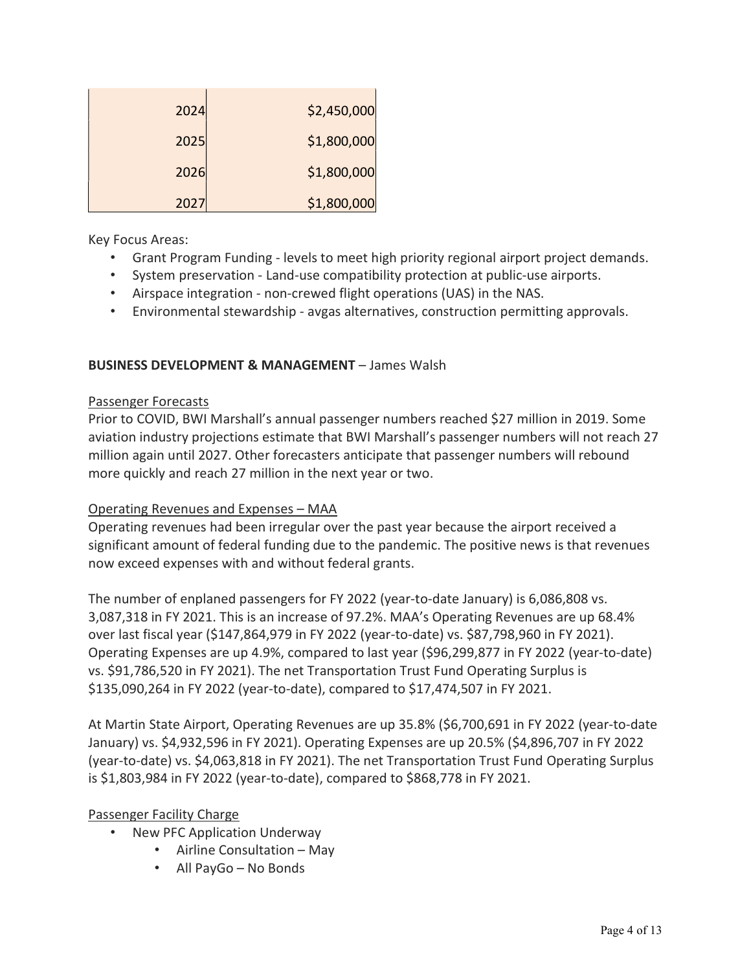| 2024 | \$2,450,000 |
|------|-------------|
| 2025 | \$1,800,000 |
| 2026 | \$1,800,000 |
| 2027 | \$1,800,000 |

Key Focus Areas:

- Grant Program Funding levels to meet high priority regional airport project demands.
- System preservation Land-use compatibility protection at public-use airports.
- Airspace integration non-crewed flight operations (UAS) in the NAS.
- Environmental stewardship avgas alternatives, construction permitting approvals.

## BUSINESS DEVELOPMENT & MANAGEMENT – James Walsh

#### Passenger Forecasts

Prior to COVID, BWI Marshall's annual passenger numbers reached \$27 million in 2019. Some aviation industry projections estimate that BWI Marshall's passenger numbers will not reach 27 million again until 2027. Other forecasters anticipate that passenger numbers will rebound more quickly and reach 27 million in the next year or two.

## Operating Revenues and Expenses – MAA

Operating revenues had been irregular over the past year because the airport received a significant amount of federal funding due to the pandemic. The positive news is that revenues now exceed expenses with and without federal grants.

The number of enplaned passengers for FY 2022 (year-to-date January) is 6,086,808 vs. 3,087,318 in FY 2021. This is an increase of 97.2%. MAA's Operating Revenues are up 68.4% over last fiscal year (\$147,864,979 in FY 2022 (year-to-date) vs. \$87,798,960 in FY 2021). Operating Expenses are up 4.9%, compared to last year (\$96,299,877 in FY 2022 (year-to-date) vs. \$91,786,520 in FY 2021). The net Transportation Trust Fund Operating Surplus is \$135,090,264 in FY 2022 (year-to-date), compared to \$17,474,507 in FY 2021.

At Martin State Airport, Operating Revenues are up 35.8% (\$6,700,691 in FY 2022 (year-to-date January) vs. \$4,932,596 in FY 2021). Operating Expenses are up 20.5% (\$4,896,707 in FY 2022 (year-to-date) vs. \$4,063,818 in FY 2021). The net Transportation Trust Fund Operating Surplus is \$1,803,984 in FY 2022 (year-to-date), compared to \$868,778 in FY 2021.

## Passenger Facility Charge

- New PFC Application Underway
	- Airline Consultation May
	- All PayGo No Bonds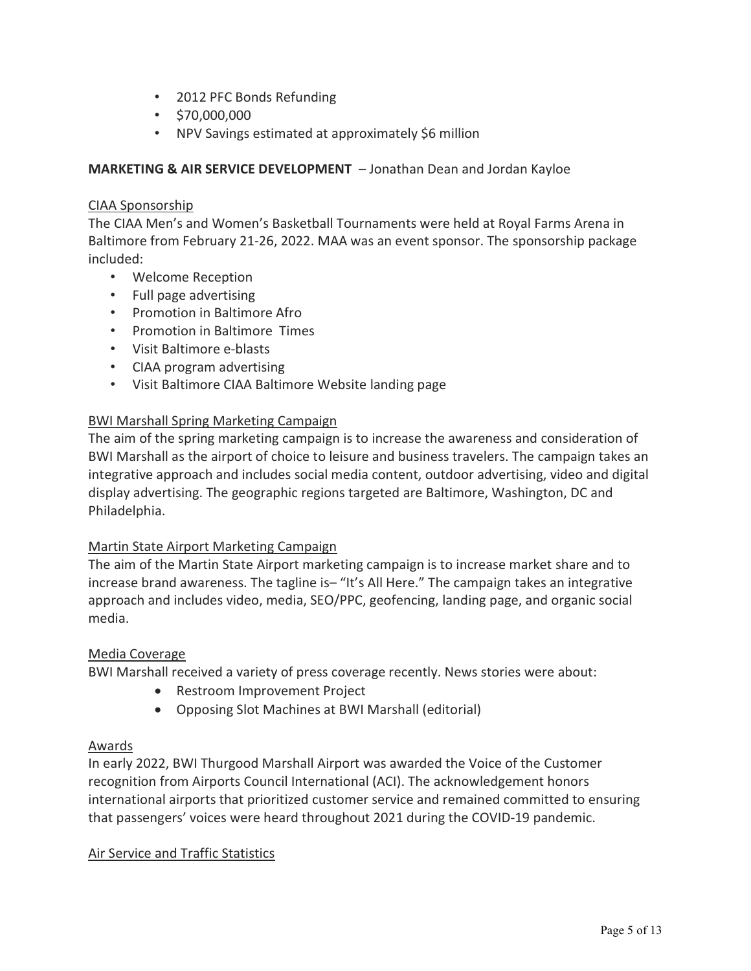- 2012 PFC Bonds Refunding
- \$70,000,000
- NPV Savings estimated at approximately \$6 million

MARKETING & AIR SERVICE DEVELOPMENT – Jonathan Dean and Jordan Kayloe

# CIAA Sponsorship

The CIAA Men's and Women's Basketball Tournaments were held at Royal Farms Arena in Baltimore from February 21-26, 2022. MAA was an event sponsor. The sponsorship package included:

- Welcome Reception
- Full page advertising
- Promotion in Baltimore Afro
- Promotion in Baltimore Times
- Visit Baltimore e-blasts
- CIAA program advertising
- Visit Baltimore CIAA Baltimore Website landing page

## BWI Marshall Spring Marketing Campaign

The aim of the spring marketing campaign is to increase the awareness and consideration of BWI Marshall as the airport of choice to leisure and business travelers. The campaign takes an integrative approach and includes social media content, outdoor advertising, video and digital display advertising. The geographic regions targeted are Baltimore, Washington, DC and Philadelphia.

# Martin State Airport Marketing Campaign

The aim of the Martin State Airport marketing campaign is to increase market share and to increase brand awareness. The tagline is– "It's All Here." The campaign takes an integrative approach and includes video, media, SEO/PPC, geofencing, landing page, and organic social media.

## Media Coverage

BWI Marshall received a variety of press coverage recently. News stories were about:

- Restroom Improvement Project
- Opposing Slot Machines at BWI Marshall (editorial)

# Awards

In early 2022, BWI Thurgood Marshall Airport was awarded the Voice of the Customer recognition from Airports Council International (ACI). The acknowledgement honors international airports that prioritized customer service and remained committed to ensuring that passengers' voices were heard throughout 2021 during the COVID-19 pandemic.

# Air Service and Traffic Statistics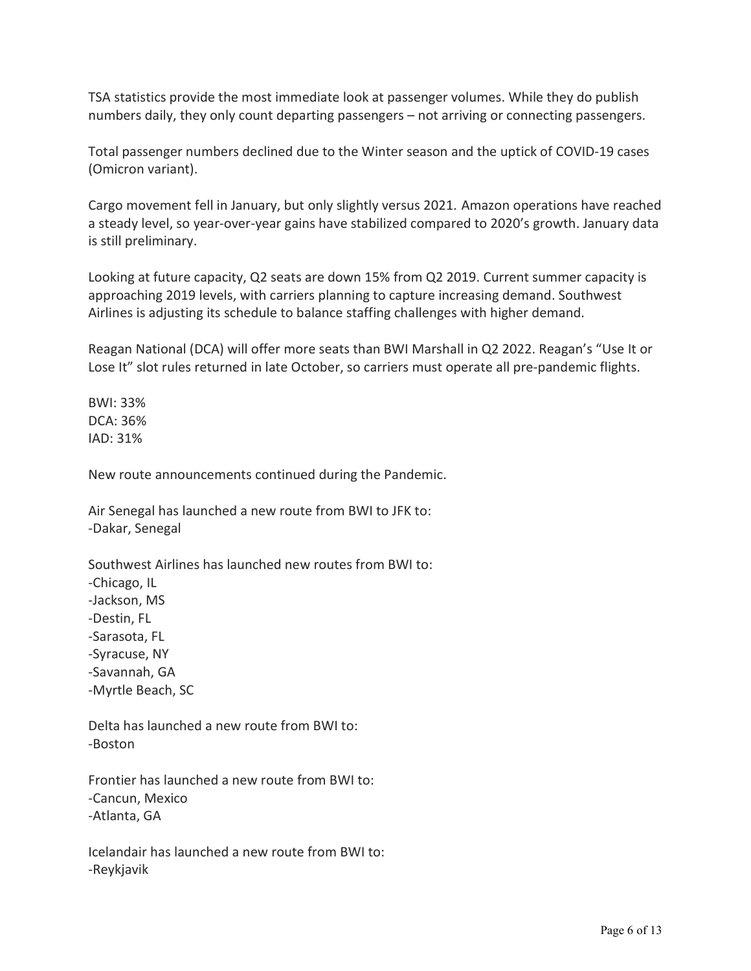TSA statistics provide the most immediate look at passenger volumes. While they do publish numbers daily, they only count departing passengers – not arriving or connecting passengers.

Total passenger numbers declined due to the Winter season and the uptick of COVID-19 cases (Omicron variant).

Cargo movement fell in January, but only slightly versus 2021. Amazon operations have reached a steady level, so year-over-year gains have stabilized compared to 2020's growth. January data is still preliminary.

Looking at future capacity, Q2 seats are down 15% from Q2 2019. Current summer capacity is approaching 2019 levels, with carriers planning to capture increasing demand. Southwest Airlines is adjusting its schedule to balance staffing challenges with higher demand.

Reagan National (DCA) will offer more seats than BWI Marshall in Q2 2022. Reagan's "Use It or Lose It" slot rules returned in late October, so carriers must operate all pre-pandemic flights.

BWI: 33% DCA: 36% IAD: 31%

New route announcements continued during the Pandemic.

Air Senegal has launched a new route from BWI to JFK to: -Dakar, Senegal

Southwest Airlines has launched new routes from BWI to: -Chicago, IL -Jackson, MS -Destin, FL -Sarasota, FL -Syracuse, NY -Savannah, GA -Myrtle Beach, SC

Delta has launched a new route from BWI to: -Boston

Frontier has launched a new route from BWI to: -Cancun, Mexico -Atlanta, GA

Icelandair has launched a new route from BWI to: -Reykjavik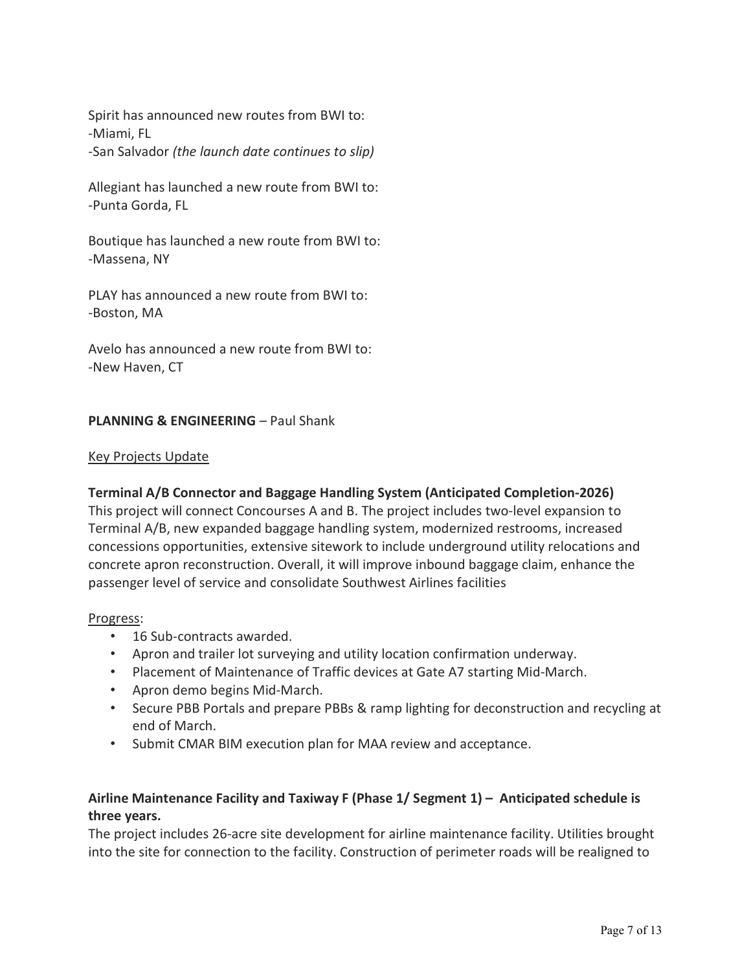Spirit has announced new routes from BWI to: -Miami, FL -San Salvador (the launch date continues to slip)

Allegiant has launched a new route from BWI to: -Punta Gorda, FL

Boutique has launched a new route from BWI to: -Massena, NY

PLAY has announced a new route from BWI to: -Boston, MA

Avelo has announced a new route from BWI to: -New Haven, CT

## PLANNING & ENGINEERING – Paul Shank

#### Key Projects Update

# Terminal A/B Connector and Baggage Handling System (Anticipated Completion-2026)

This project will connect Concourses A and B. The project includes two-level expansion to Terminal A/B, new expanded baggage handling system, modernized restrooms, increased concessions opportunities, extensive sitework to include underground utility relocations and concrete apron reconstruction. Overall, it will improve inbound baggage claim, enhance the passenger level of service and consolidate Southwest Airlines facilities

#### Progress:

- 16 Sub-contracts awarded.
- Apron and trailer lot surveying and utility location confirmation underway.
- Placement of Maintenance of Traffic devices at Gate A7 starting Mid-March.
- Apron demo begins Mid-March.
- Secure PBB Portals and prepare PBBs & ramp lighting for deconstruction and recycling at end of March.
- Submit CMAR BIM execution plan for MAA review and acceptance.

# Airline Maintenance Facility and Taxiway F (Phase 1/ Segment 1) – Anticipated schedule is three years.

The project includes 26-acre site development for airline maintenance facility. Utilities brought into the site for connection to the facility. Construction of perimeter roads will be realigned to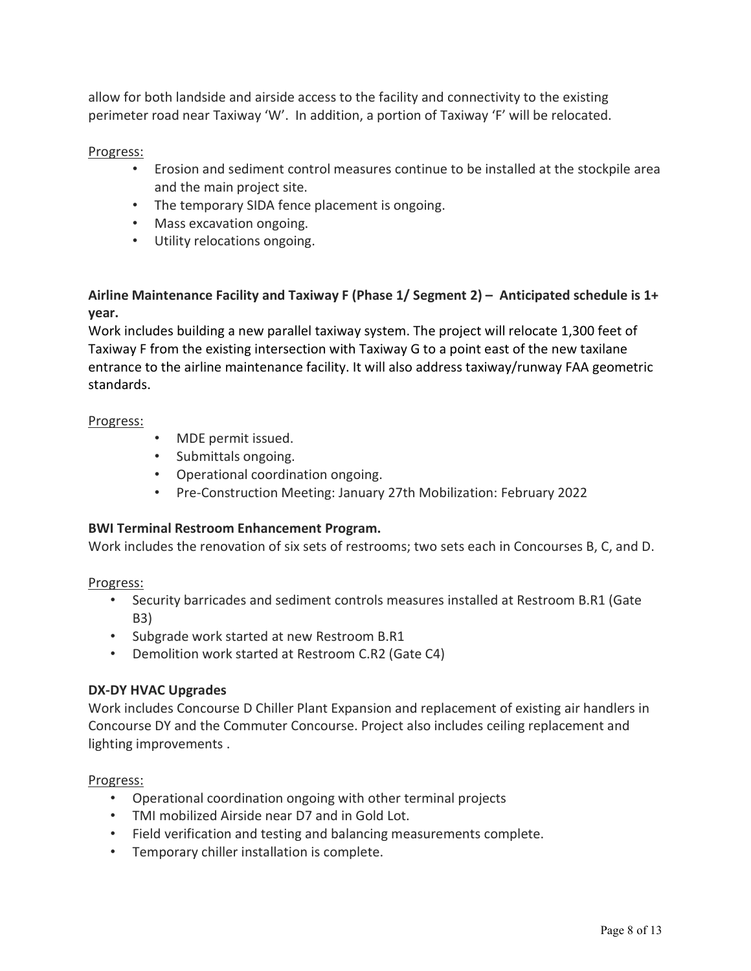allow for both landside and airside access to the facility and connectivity to the existing perimeter road near Taxiway 'W'. In addition, a portion of Taxiway 'F' will be relocated.

## Progress:

- Erosion and sediment control measures continue to be installed at the stockpile area and the main project site.
- The temporary SIDA fence placement is ongoing.
- Mass excavation ongoing.
- Utility relocations ongoing.

# Airline Maintenance Facility and Taxiway F (Phase 1/ Segment 2) – Anticipated schedule is 1+ year.

Work includes building a new parallel taxiway system. The project will relocate 1,300 feet of Taxiway F from the existing intersection with Taxiway G to a point east of the new taxilane entrance to the airline maintenance facility. It will also address taxiway/runway FAA geometric standards.

## Progress:

- MDE permit issued.
- Submittals ongoing.
- Operational coordination ongoing.
- Pre-Construction Meeting: January 27th Mobilization: February 2022

# BWI Terminal Restroom Enhancement Program.

Work includes the renovation of six sets of restrooms; two sets each in Concourses B, C, and D.

## Progress:

- Security barricades and sediment controls measures installed at Restroom B.R1 (Gate B3)
- Subgrade work started at new Restroom B.R1
- Demolition work started at Restroom C.R2 (Gate C4)

# DX-DY HVAC Upgrades

Work includes Concourse D Chiller Plant Expansion and replacement of existing air handlers in Concourse DY and the Commuter Concourse. Project also includes ceiling replacement and lighting improvements .

## Progress:

- Operational coordination ongoing with other terminal projects
- TMI mobilized Airside near D7 and in Gold Lot.
- Field verification and testing and balancing measurements complete.
- Temporary chiller installation is complete.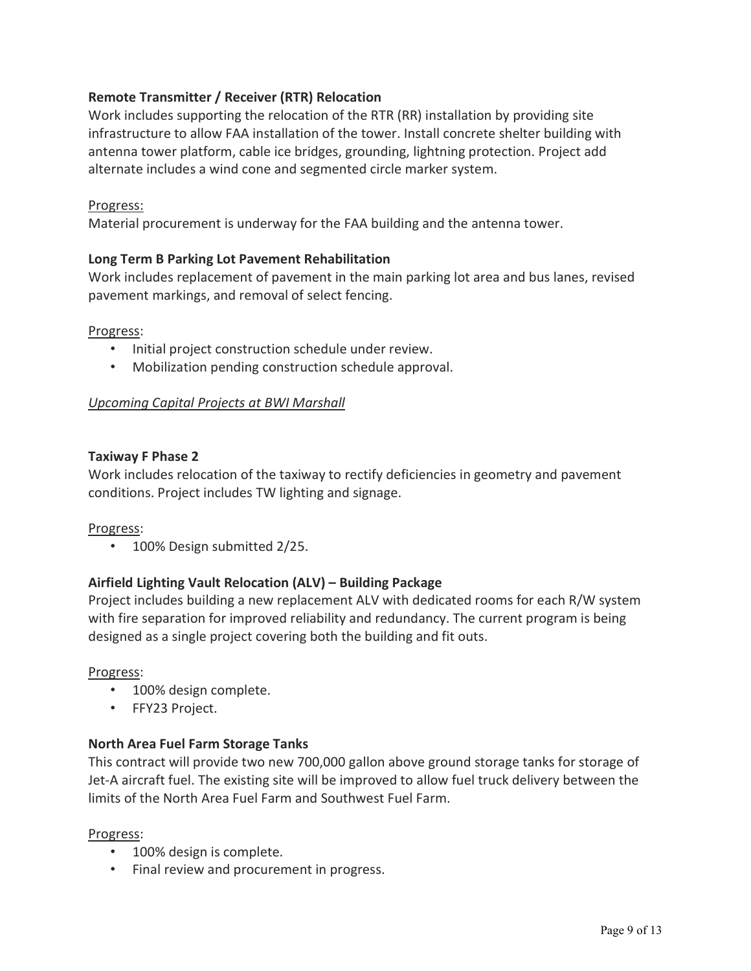# Remote Transmitter / Receiver (RTR) Relocation

Work includes supporting the relocation of the RTR (RR) installation by providing site infrastructure to allow FAA installation of the tower. Install concrete shelter building with antenna tower platform, cable ice bridges, grounding, lightning protection. Project add alternate includes a wind cone and segmented circle marker system.

#### Progress:

Material procurement is underway for the FAA building and the antenna tower.

## Long Term B Parking Lot Pavement Rehabilitation

Work includes replacement of pavement in the main parking lot area and bus lanes, revised pavement markings, and removal of select fencing.

#### Progress:

- Initial project construction schedule under review.
- Mobilization pending construction schedule approval.

#### Upcoming Capital Projects at BWI Marshall

#### Taxiway F Phase 2

Work includes relocation of the taxiway to rectify deficiencies in geometry and pavement conditions. Project includes TW lighting and signage.

#### Progress:

• 100% Design submitted 2/25.

#### Airfield Lighting Vault Relocation (ALV) – Building Package

Project includes building a new replacement ALV with dedicated rooms for each R/W system with fire separation for improved reliability and redundancy. The current program is being designed as a single project covering both the building and fit outs.

#### Progress:

- 100% design complete.
- FFY23 Project.

#### North Area Fuel Farm Storage Tanks

This contract will provide two new 700,000 gallon above ground storage tanks for storage of Jet-A aircraft fuel. The existing site will be improved to allow fuel truck delivery between the limits of the North Area Fuel Farm and Southwest Fuel Farm.

#### Progress:

- 100% design is complete.
- Final review and procurement in progress.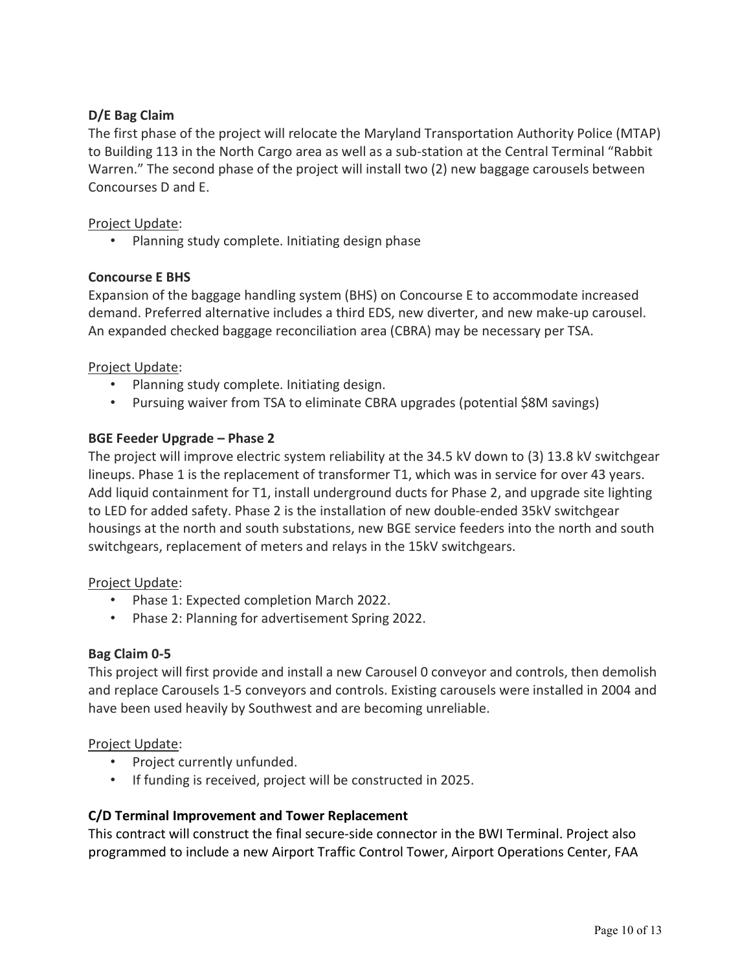# D/E Bag Claim

The first phase of the project will relocate the Maryland Transportation Authority Police (MTAP) to Building 113 in the North Cargo area as well as a sub-station at the Central Terminal "Rabbit Warren." The second phase of the project will install two (2) new baggage carousels between Concourses D and E.

## Project Update:

• Planning study complete. Initiating design phase

## Concourse E BHS

Expansion of the baggage handling system (BHS) on Concourse E to accommodate increased demand. Preferred alternative includes a third EDS, new diverter, and new make-up carousel. An expanded checked baggage reconciliation area (CBRA) may be necessary per TSA.

## Project Update:

- Planning study complete. Initiating design.
- Pursuing waiver from TSA to eliminate CBRA upgrades (potential \$8M savings)

## BGE Feeder Upgrade – Phase 2

The project will improve electric system reliability at the 34.5 kV down to (3) 13.8 kV switchgear lineups. Phase 1 is the replacement of transformer T1, which was in service for over 43 years. Add liquid containment for T1, install underground ducts for Phase 2, and upgrade site lighting to LED for added safety. Phase 2 is the installation of new double-ended 35kV switchgear housings at the north and south substations, new BGE service feeders into the north and south switchgears, replacement of meters and relays in the 15kV switchgears.

## Project Update:

- Phase 1: Expected completion March 2022.
- Phase 2: Planning for advertisement Spring 2022.

## Bag Claim 0-5

This project will first provide and install a new Carousel 0 conveyor and controls, then demolish and replace Carousels 1-5 conveyors and controls. Existing carousels were installed in 2004 and have been used heavily by Southwest and are becoming unreliable.

## Project Update:

- Project currently unfunded.
- If funding is received, project will be constructed in 2025.

## C/D Terminal Improvement and Tower Replacement

This contract will construct the final secure-side connector in the BWI Terminal. Project also programmed to include a new Airport Traffic Control Tower, Airport Operations Center, FAA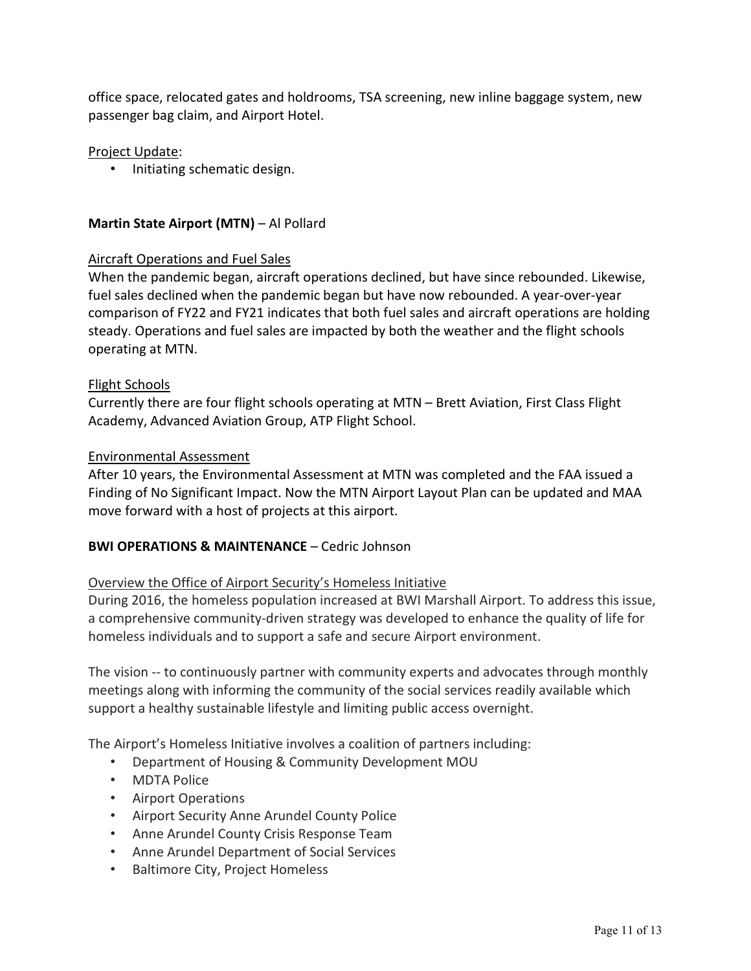office space, relocated gates and holdrooms, TSA screening, new inline baggage system, new passenger bag claim, and Airport Hotel.

### Project Update:

• Initiating schematic design.

### Martin State Airport (MTN) – Al Pollard

#### Aircraft Operations and Fuel Sales

When the pandemic began, aircraft operations declined, but have since rebounded. Likewise, fuel sales declined when the pandemic began but have now rebounded. A year-over-year comparison of FY22 and FY21 indicates that both fuel sales and aircraft operations are holding steady. Operations and fuel sales are impacted by both the weather and the flight schools operating at MTN.

#### Flight Schools

Currently there are four flight schools operating at MTN – Brett Aviation, First Class Flight Academy, Advanced Aviation Group, ATP Flight School.

#### Environmental Assessment

After 10 years, the Environmental Assessment at MTN was completed and the FAA issued a Finding of No Significant Impact. Now the MTN Airport Layout Plan can be updated and MAA move forward with a host of projects at this airport.

## BWI OPERATIONS & MAINTENANCE – Cedric Johnson

#### Overview the Office of Airport Security's Homeless Initiative

During 2016, the homeless population increased at BWI Marshall Airport. To address this issue, a comprehensive community-driven strategy was developed to enhance the quality of life for homeless individuals and to support a safe and secure Airport environment.

The vision -- to continuously partner with community experts and advocates through monthly meetings along with informing the community of the social services readily available which support a healthy sustainable lifestyle and limiting public access overnight.

The Airport's Homeless Initiative involves a coalition of partners including:

- Department of Housing & Community Development MOU
- MDTA Police
- Airport Operations
- Airport Security Anne Arundel County Police
- Anne Arundel County Crisis Response Team
- Anne Arundel Department of Social Services
- Baltimore City, Project Homeless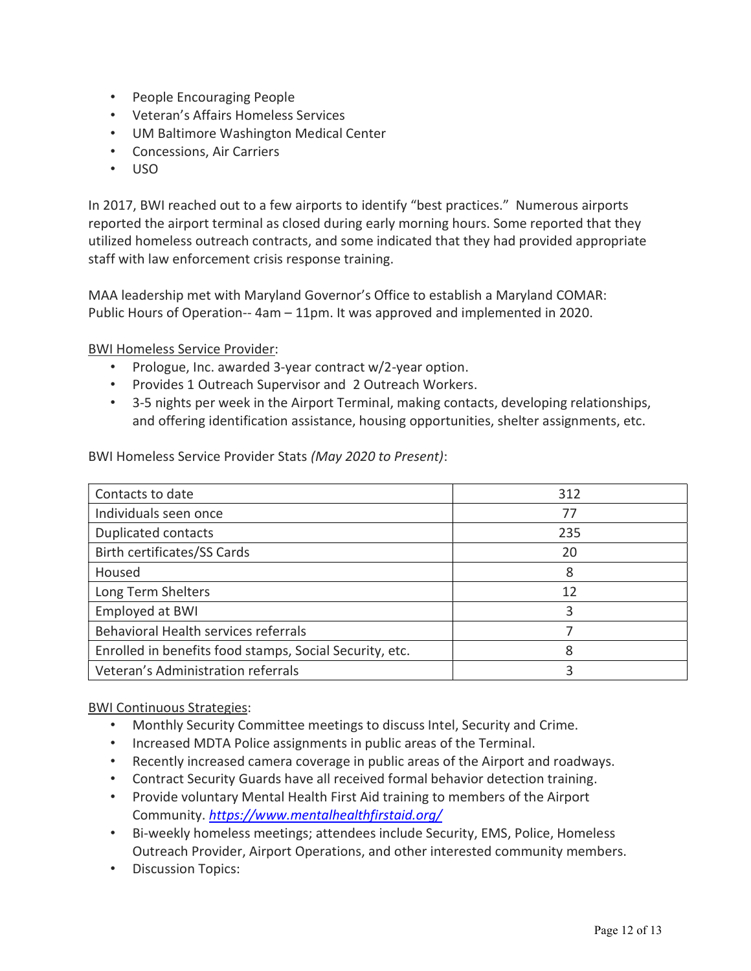- People Encouraging People
- Veteran's Affairs Homeless Services
- UM Baltimore Washington Medical Center
- Concessions, Air Carriers
- USO

In 2017, BWI reached out to a few airports to identify "best practices." Numerous airports reported the airport terminal as closed during early morning hours. Some reported that they utilized homeless outreach contracts, and some indicated that they had provided appropriate staff with law enforcement crisis response training.

MAA leadership met with Maryland Governor's Office to establish a Maryland COMAR: Public Hours of Operation-- 4am – 11pm. It was approved and implemented in 2020.

BWI Homeless Service Provider:

- Prologue, Inc. awarded 3-year contract w/2-year option.
- Provides 1 Outreach Supervisor and 2 Outreach Workers.
- 3-5 nights per week in the Airport Terminal, making contacts, developing relationships, and offering identification assistance, housing opportunities, shelter assignments, etc.

BWI Homeless Service Provider Stats (May 2020 to Present):

| Contacts to date                                        | 312 |
|---------------------------------------------------------|-----|
| Individuals seen once                                   | 77  |
| <b>Duplicated contacts</b>                              | 235 |
| Birth certificates/SS Cards                             | 20  |
| Housed                                                  | 8   |
| Long Term Shelters                                      | 12  |
| Employed at BWI                                         | 3   |
| Behavioral Health services referrals                    |     |
| Enrolled in benefits food stamps, Social Security, etc. | 8   |
| Veteran's Administration referrals                      | 3   |

## BWI Continuous Strategies:

- Monthly Security Committee meetings to discuss Intel, Security and Crime.
- Increased MDTA Police assignments in public areas of the Terminal.
- Recently increased camera coverage in public areas of the Airport and roadways.
- Contract Security Guards have all received formal behavior detection training.
- Provide voluntary Mental Health First Aid training to members of the Airport Community. https://www.mentalhealthfirstaid.org/
- Bi-weekly homeless meetings; attendees include Security, EMS, Police, Homeless Outreach Provider, Airport Operations, and other interested community members.
- Discussion Topics: